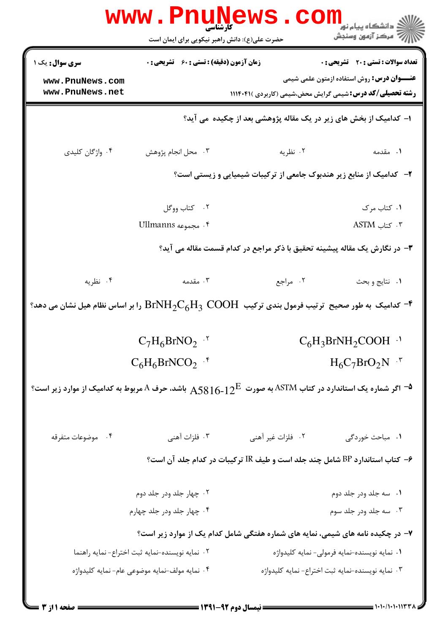|                                                                                                                                        | <b>www.PnuNews</b><br>کارشناسی<br>حضرت علی(ع): دانش راهبر نیکویی برای ایمان است |                                                                                 | ڪ دانشڪاه پيا <sub>م</sub> نور<br>۾ سرڪز آزمون وسنجش                                                                  |  |  |
|----------------------------------------------------------------------------------------------------------------------------------------|---------------------------------------------------------------------------------|---------------------------------------------------------------------------------|-----------------------------------------------------------------------------------------------------------------------|--|--|
| <b>سری سوال :</b> یک ۱                                                                                                                 | <b>زمان آزمون (دقیقه) : تستی : 60 ٪ تشریحی : 0</b>                              |                                                                                 | <b>تعداد سوالات : تستی : 20 ٪ تشریحی : 0</b>                                                                          |  |  |
| www.PnuNews.com<br>www.PnuNews.net                                                                                                     |                                                                                 |                                                                                 | <b>عنـــوان درس:</b> روش استفاده ازمتون علمی شیمی<br><b>رشته تحصیلی/کد درس:</b> شیمی گرایش محض،شیمی (کاربردی )۱۱۱۴۰۴۱ |  |  |
|                                                                                                                                        | ا- کدامیک از بخش های زیر در یک مقاله پژوهشی بعد از چکیده می آید؟                |                                                                                 |                                                                                                                       |  |  |
| ۰۴ واژگان کلیدی                                                                                                                        | ۰۳ محل انجام پژوهش                                                              | ۰۲ نظریه                                                                        | ٠١. مقدمه                                                                                                             |  |  |
|                                                                                                                                        | ۲- کدامیک از منابع زیر هندبوک جامعی از ترکیبات شیمیایی و زیستی است؟             |                                                                                 |                                                                                                                       |  |  |
|                                                                                                                                        | ٠٢ كتاب ووكل                                                                    |                                                                                 | ۰۱ کتاب مرک                                                                                                           |  |  |
|                                                                                                                                        | ۴. مجموعه Ullmanns                                                              |                                                                                 | $ASTM$ کتاب ASTM                                                                                                      |  |  |
|                                                                                                                                        | ۳- در نگارش یک مقاله پیشینه تحقیق با ذکر مراجع در کدام قسمت مقاله می آید؟       |                                                                                 |                                                                                                                       |  |  |
| ۰۴ نظریه                                                                                                                               | ۰۳ مقدمه                                                                        | ۰۲ مراجع                                                                        | ٠١ نتايج وبحث                                                                                                         |  |  |
| وا بر اساس نظام هیل نشان می دهد؟ ${\rm BrNH_2C_6H_3}$ COOH - حدامیک به طور صحیح ترتیب فرمول بندی ترکیب $\cdot \cdot$                   |                                                                                 |                                                                                 |                                                                                                                       |  |  |
|                                                                                                                                        | $C_7H_6BrNO_2$ .                                                                |                                                                                 | $C_6H_3BrNH_2COOH$ <sup>.1</sup>                                                                                      |  |  |
|                                                                                                                                        | $C_6H_6BrNCO_2$ . <sup>*</sup>                                                  |                                                                                 | $H_6C_7BrO_2N$ .                                                                                                      |  |  |
| ه اگر شماره یک استاندارد در کتاب $\mathrm{ASTM}$ به صورت $12^{\mathrm{E}}$ باشد، حرف A مربوط به کدامیک از موارد زیر است؟ $^\mathsf{t}$ |                                                                                 |                                                                                 |                                                                                                                       |  |  |
| ۰۴ موضوعات متفرقه                                                                                                                      | ۰۳ فلزات آهنی                                                                   | ۰۲ فلزات غیر آهنی                                                               | ۰۱ مباحث خوردگی                                                                                                       |  |  |
|                                                                                                                                        |                                                                                 | ۶– کتاب استاندارد BP شامل چند جلد است و طیف IR ترکیبات در کدام جلد آن است؟      |                                                                                                                       |  |  |
| ۰۲ چهار جلد ودر جلد دوم                                                                                                                |                                                                                 |                                                                                 | ۰۱ سه جلد ودر جلد دوم                                                                                                 |  |  |
|                                                                                                                                        | ۰۴ چهار جلد ودر جلد چهارم                                                       |                                                                                 | ۰۳ سه جلد ودر جلد سوم                                                                                                 |  |  |
|                                                                                                                                        |                                                                                 | ۷– در چکیده نامه های شیمی، نمایه های شماره هفتگی شامل کدام یک از موارد زیر است؟ |                                                                                                                       |  |  |
|                                                                                                                                        | ٠٢ نمايه نويسنده-نمايه ثبت اختراع- نمايه راهنما                                 |                                                                                 | ۰۱ نمایه نویسنده-نمایه فرمولی- نمایه کلیدواژه                                                                         |  |  |
|                                                                                                                                        | ۰۴ نمایه مولف-نمایه موضوعی عام- نمایه کلیدواژه                                  |                                                                                 | ۰۳ نمایه نویسنده-نمایه ثبت اختراع- نمایه کلیدواژه                                                                     |  |  |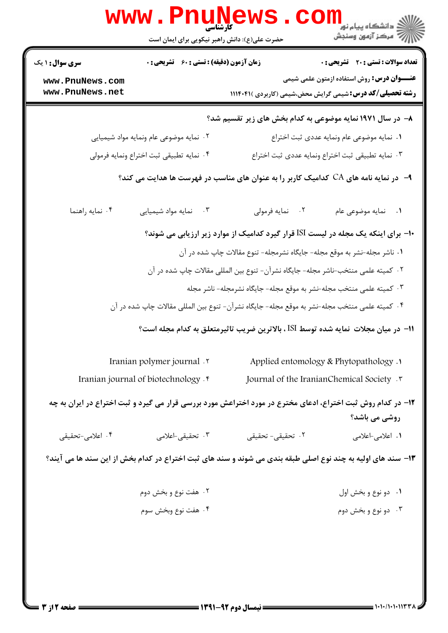|                                                                                   | www . Pn<br>کارشناسی<br>حضرت علی(ع): دانش راهبر نیکویی برای ایمان است                       |                                                                                                             | ڪ دانشڪاه پيام نور<br><mark>∕</mark> 7 مرڪز آزمون وسنڊش          |  |  |
|-----------------------------------------------------------------------------------|---------------------------------------------------------------------------------------------|-------------------------------------------------------------------------------------------------------------|------------------------------------------------------------------|--|--|
| <b>سری سوال : ۱ یک</b>                                                            | <b>زمان آزمون (دقیقه) : تستی : 60 ٪ تشریحی : 0</b><br>تعداد سوالات : تستى : 20 - تشريحي : 0 |                                                                                                             |                                                                  |  |  |
| www.PnuNews.com                                                                   |                                                                                             |                                                                                                             | <b>عنـــوان درس:</b> روش استفاده ازمتون علمی شیمی                |  |  |
| www.PnuNews.net                                                                   |                                                                                             |                                                                                                             | <b>رشته تحصیلی/کد درس:</b> شیمی گرایش محض،شیمی (کاربردی )۱۱۱۴۰۴۱ |  |  |
|                                                                                   |                                                                                             | ۸– در سال ۱۹۷۱ نمایه موضوعی به کدام بخش های زیر تقسیم شد؟                                                   |                                                                  |  |  |
| ۰۲ نمایه موضوعی عام ونمایه مواد شیمیایی                                           |                                                                                             |                                                                                                             | ٠١ نمايه موضوعي عام ونمايه عددي ثبت اختراع                       |  |  |
| ۰۴ نمايه تطبيقي ثبت اختراع ونمايه فرمولي                                          |                                                                                             |                                                                                                             | ٠٣ نمايه تطبيقي ثبت اختراع ونمايه عددى ثبت اختراع                |  |  |
|                                                                                   |                                                                                             | ۹– در نمایه نامه های CA کدامیک کاربر را به عنوان های مناسب در فهرست ها هدایت می کند؟                        |                                                                  |  |  |
| ۰۴ نمايه راهنما                                                                   | ۰۳ نمایه مواد شیمیایی                                                                       | ۰۲ نمايه فرمولي                                                                                             | ٠١ نمايه موضوعي عام                                              |  |  |
| +ا– برای اینکه یک مجله در لیست ISI قرار گیرد کدامیک از موارد زیر ارزیابی می شوند؟ |                                                                                             |                                                                                                             |                                                                  |  |  |
| ۰۱ ناشر مجله-نشر به موقع مجله- جایگاه نشرمجله- تنوع مقالات چاپ شده در آن          |                                                                                             |                                                                                                             |                                                                  |  |  |
|                                                                                   |                                                                                             | ۰۲ کمیته علمی منتخب-ناشر مجله- جایگاه نشرآن- تنوع بین المللی مقالات چاپ شده در آن                           |                                                                  |  |  |
|                                                                                   |                                                                                             | ۰۳ کمیته علمی منتخب مجله-نشر به موقع مجله- جایگاه نشرمجله- ناشر مجله                                        |                                                                  |  |  |
|                                                                                   |                                                                                             | ۰۴ کمیته علمی منتخب مجله-نشر به موقع مجله- جایگاه نشرآن- تنوع بین المللی مقالات چاپ شده در آن               |                                                                  |  |  |
|                                                                                   |                                                                                             | ا1− در میان مجلات  نمایه شده توسط ISI ، بالاترین ضریب تاثیرمتعلق به کدام مجله است؟                          |                                                                  |  |  |
| Iranian polymer journal .                                                         |                                                                                             |                                                                                                             | Applied entomology & Phytopathology .                            |  |  |
| Journal of the IranianChemical Society .<br>Iranian journal of biotechnology . f  |                                                                                             |                                                                                                             |                                                                  |  |  |
|                                                                                   |                                                                                             | ۱۲– در کدام روش ثبت اختراع، ادعای مخترع در مورد اختراعش مورد بررسی قرار می گیرد و ثبت اختراع در ایران به چه | روشی می باشد؟                                                    |  |  |
| ۰۴ اعلامی-تحقیقی                                                                  | ۰۳ تحقیقی-اعلامی                                                                            | ۰۲ تحقیقے <i>–</i> تحقیقے                                                                                   | ۰۱ اعلامی-اعلامی                                                 |  |  |
|                                                                                   |                                                                                             | ۱۳- سند های اولیه به چند نوع اصلی طبقه بندی می شوند و سند های ثبت اختراع در کدام بخش از این سند ها می آیند؟ |                                                                  |  |  |
|                                                                                   | ۰۲ هفت نوع و بخش دوم                                                                        |                                                                                                             | ۰۱ دو نوع و بخش اول                                              |  |  |
|                                                                                   | ۰۴ هفت نوع وبخش سوم                                                                         |                                                                                                             | ۰۳ دو نوع و بخش دوم                                              |  |  |
|                                                                                   |                                                                                             |                                                                                                             |                                                                  |  |  |